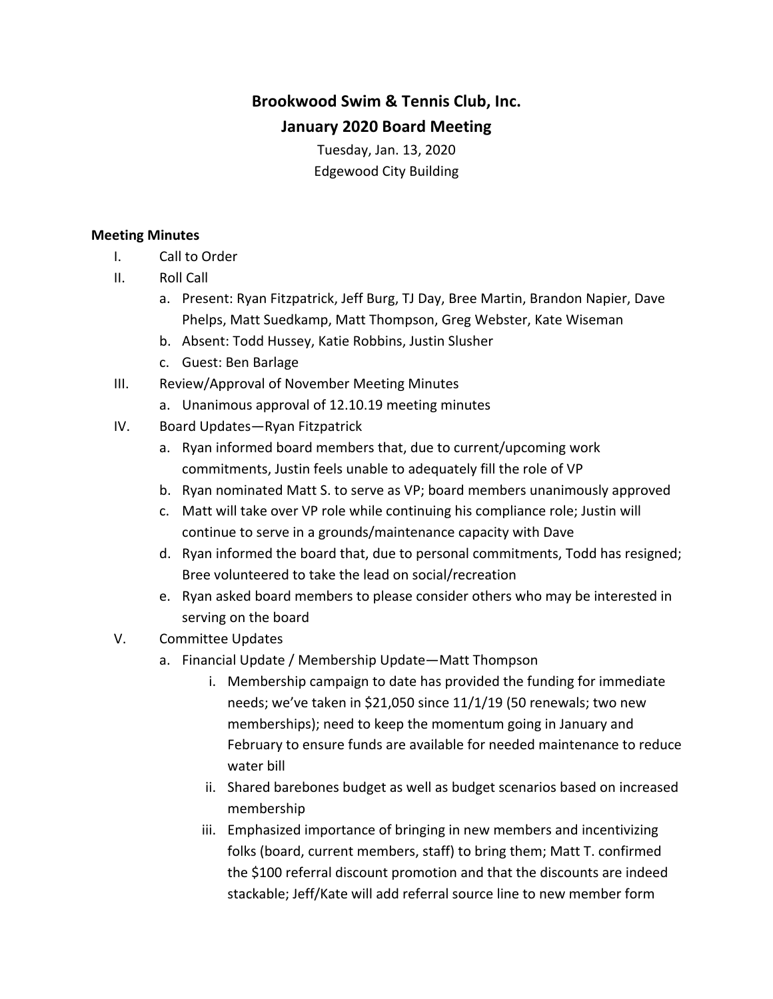## **Brookwood Swim & Tennis Club, Inc. January 2020 Board Meeting**

Tuesday, Jan. 13, 2020 Edgewood City Building

## **Meeting Minutes**

- I. Call to Order
- II. Roll Call
	- a. Present: Ryan Fitzpatrick, Jeff Burg, TJ Day, Bree Martin, Brandon Napier, Dave Phelps, Matt Suedkamp, Matt Thompson, Greg Webster, Kate Wiseman
	- b. Absent: Todd Hussey, Katie Robbins, Justin Slusher
	- c. Guest: Ben Barlage
- III. Review/Approval of November Meeting Minutes
	- a. Unanimous approval of 12.10.19 meeting minutes
- IV. Board Updates-Ryan Fitzpatrick
	- a. Ryan informed board members that, due to current/upcoming work commitments, Justin feels unable to adequately fill the role of VP
	- b. Ryan nominated Matt S. to serve as VP; board members unanimously approved
	- c. Matt will take over VP role while continuing his compliance role; Justin will continue to serve in a grounds/maintenance capacity with Dave
	- d. Ryan informed the board that, due to personal commitments, Todd has resigned; Bree volunteered to take the lead on social/recreation
	- e. Ryan asked board members to please consider others who may be interested in serving on the board
- V. Committee Updates
	- a. Financial Update / Membership Update—Matt Thompson
		- i. Membership campaign to date has provided the funding for immediate needs; we've taken in \$21,050 since  $11/1/19$  (50 renewals; two new memberships); need to keep the momentum going in January and February to ensure funds are available for needed maintenance to reduce water bill
		- ii. Shared barebones budget as well as budget scenarios based on increased membership
		- iii. Emphasized importance of bringing in new members and incentivizing folks (board, current members, staff) to bring them; Matt T. confirmed the \$100 referral discount promotion and that the discounts are indeed stackable; Jeff/Kate will add referral source line to new member form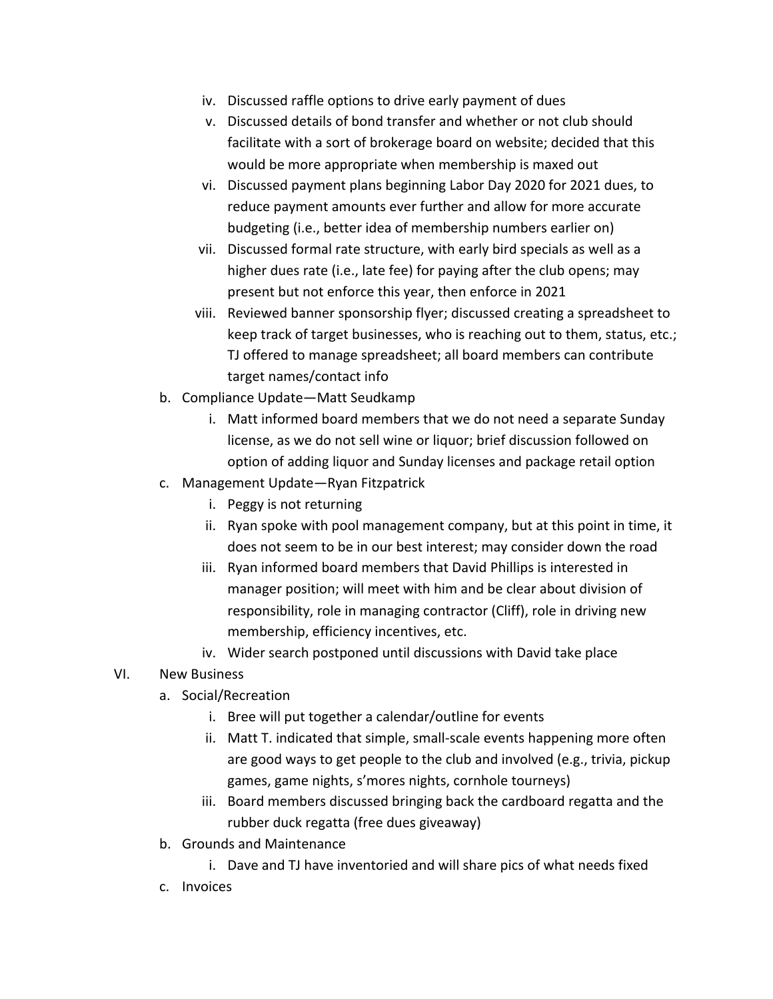- iv. Discussed raffle options to drive early payment of dues
- v. Discussed details of bond transfer and whether or not club should facilitate with a sort of brokerage board on website; decided that this would be more appropriate when membership is maxed out
- vi. Discussed payment plans beginning Labor Day 2020 for 2021 dues, to reduce payment amounts ever further and allow for more accurate budgeting (i.e., better idea of membership numbers earlier on)
- vii. Discussed formal rate structure, with early bird specials as well as a higher dues rate (i.e., late fee) for paying after the club opens; may present but not enforce this year, then enforce in 2021
- viii. Reviewed banner sponsorship flyer; discussed creating a spreadsheet to keep track of target businesses, who is reaching out to them, status, etc.; TJ offered to manage spreadsheet; all board members can contribute target names/contact info
- b. Compliance Update—Matt Seudkamp
	- i. Matt informed board members that we do not need a separate Sunday license, as we do not sell wine or liquor; brief discussion followed on option of adding liquor and Sunday licenses and package retail option
- c. Management Update-Ryan Fitzpatrick
	- i. Peggy is not returning
	- ii. Ryan spoke with pool management company, but at this point in time, it does not seem to be in our best interest; may consider down the road
	- iii. Ryan informed board members that David Phillips is interested in manager position; will meet with him and be clear about division of responsibility, role in managing contractor (Cliff), role in driving new membership, efficiency incentives, etc.
	- iv. Wider search postponed until discussions with David take place

## VI. New Business

- a. Social/Recreation
	- i. Bree will put together a calendar/outline for events
	- ii. Matt T. indicated that simple, small-scale events happening more often are good ways to get people to the club and involved (e.g., trivia, pickup games, game nights, s'mores nights, cornhole tourneys)
	- iii. Board members discussed bringing back the cardboard regatta and the rubber duck regatta (free dues giveaway)
- b. Grounds and Maintenance
	- i. Dave and TJ have inventoried and will share pics of what needs fixed
- c. Invoices